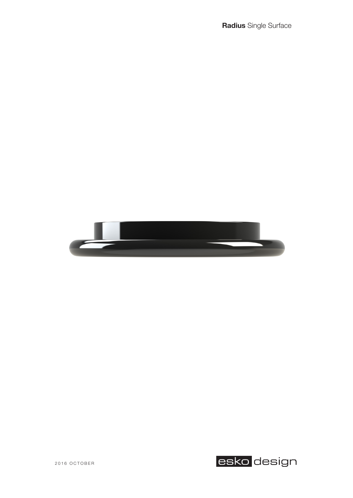